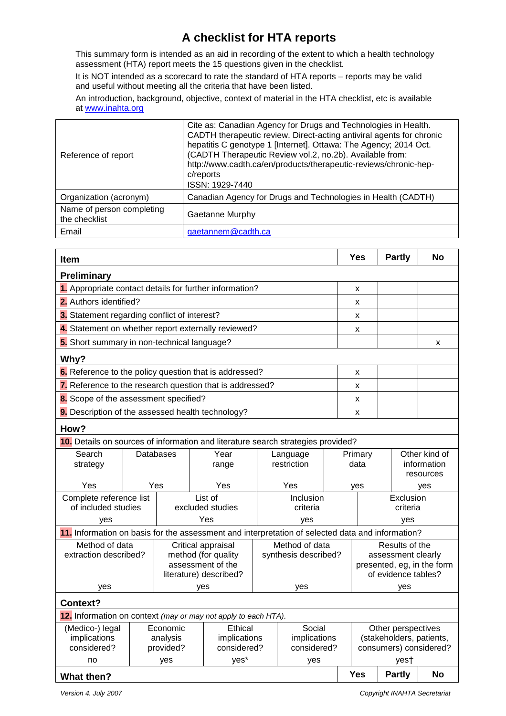## **A checklist for HTA reports**

This summary form is intended as an aid in recording of the extent to which a health technology assessment (HTA) report meets the 15 questions given in the checklist.

It is NOT intended as a scorecard to rate the standard of HTA reports – reports may be valid and useful without meeting all the criteria that have been listed.

An introduction, background, objective, context of material in the HTA checklist, etc is available at [www.inahta.org](http://www.inahta.org/)

| Reference of report                        | Cite as: Canadian Agency for Drugs and Technologies in Health.<br>CADTH therapeutic review. Direct-acting antiviral agents for chronic<br>hepatitis C genotype 1 [Internet]. Ottawa: The Agency; 2014 Oct.<br>(CADTH Therapeutic Review vol.2, no.2b). Available from:<br>http://www.cadth.ca/en/products/therapeutic-reviews/chronic-hep-<br>c/reports<br>ISSN: 1929-7440 |
|--------------------------------------------|----------------------------------------------------------------------------------------------------------------------------------------------------------------------------------------------------------------------------------------------------------------------------------------------------------------------------------------------------------------------------|
| Organization (acronym)                     | Canadian Agency for Drugs and Technologies in Health (CADTH)                                                                                                                                                                                                                                                                                                               |
| Name of person completing<br>the checklist | Gaetanne Murphy                                                                                                                                                                                                                                                                                                                                                            |
| Email                                      | gaetannem@cadth.ca                                                                                                                                                                                                                                                                                                                                                         |

| <b>Item</b>                                                                      |                                                                                                  |                        |                                           |         |                                        |                             |                                      | <b>Yes</b>                                         | <b>Partly</b> | <b>No</b>                |  |
|----------------------------------------------------------------------------------|--------------------------------------------------------------------------------------------------|------------------------|-------------------------------------------|---------|----------------------------------------|-----------------------------|--------------------------------------|----------------------------------------------------|---------------|--------------------------|--|
| Preliminary                                                                      |                                                                                                  |                        |                                           |         |                                        |                             |                                      |                                                    |               |                          |  |
| 1. Appropriate contact details for further information?                          |                                                                                                  |                        |                                           |         |                                        |                             |                                      | x                                                  |               |                          |  |
| 2. Authors identified?                                                           |                                                                                                  |                        |                                           |         |                                        |                             |                                      | X                                                  |               |                          |  |
| 3. Statement regarding conflict of interest?                                     |                                                                                                  |                        |                                           |         |                                        |                             |                                      | X                                                  |               |                          |  |
| 4. Statement on whether report externally reviewed?                              |                                                                                                  |                        |                                           |         |                                        |                             | x                                    |                                                    |               |                          |  |
| 5. Short summary in non-technical language?                                      |                                                                                                  |                        |                                           |         |                                        |                             |                                      |                                                    |               | X                        |  |
| Why?                                                                             |                                                                                                  |                        |                                           |         |                                        |                             |                                      |                                                    |               |                          |  |
| 6. Reference to the policy question that is addressed?                           |                                                                                                  |                        |                                           |         |                                        |                             |                                      | x                                                  |               |                          |  |
| 7. Reference to the research question that is addressed?                         |                                                                                                  |                        |                                           |         |                                        |                             |                                      | x                                                  |               |                          |  |
| 8. Scope of the assessment specified?                                            |                                                                                                  |                        |                                           |         |                                        |                             |                                      | x                                                  |               |                          |  |
| 9. Description of the assessed health technology?                                |                                                                                                  |                        |                                           |         |                                        |                             |                                      | X                                                  |               |                          |  |
| How?                                                                             |                                                                                                  |                        |                                           |         |                                        |                             |                                      |                                                    |               |                          |  |
| 10. Details on sources of information and literature search strategies provided? |                                                                                                  |                        |                                           |         |                                        |                             |                                      |                                                    |               |                          |  |
| Search                                                                           | <b>Databases</b>                                                                                 |                        | Year                                      |         |                                        | Language                    |                                      | Primary                                            |               | Other kind of            |  |
| strategy                                                                         |                                                                                                  |                        |                                           | range   |                                        | restriction                 |                                      | data                                               |               | information<br>resources |  |
| Yes                                                                              |                                                                                                  | Yes                    |                                           | Yes     |                                        | Yes                         |                                      | yes                                                |               | yes                      |  |
| Complete reference list                                                          |                                                                                                  |                        |                                           | List of |                                        | Inclusion                   |                                      |                                                    | Exclusion     |                          |  |
|                                                                                  | of included studies                                                                              |                        | excluded studies                          |         | criteria                               |                             |                                      | criteria                                           |               |                          |  |
| ves                                                                              |                                                                                                  |                        | Yes                                       |         |                                        | yes                         |                                      | yes                                                |               |                          |  |
|                                                                                  | 11. Information on basis for the assessment and interpretation of selected data and information? |                        |                                           |         |                                        |                             |                                      |                                                    |               |                          |  |
| Method of data<br>extraction described?                                          |                                                                                                  |                        | Critical appraisal<br>method (for quality |         | Method of data<br>synthesis described? |                             | Results of the<br>assessment clearly |                                                    |               |                          |  |
|                                                                                  |                                                                                                  |                        | assessment of the                         |         |                                        |                             | presented, eg, in the form           |                                                    |               |                          |  |
|                                                                                  |                                                                                                  | literature) described? |                                           |         |                                        |                             | of evidence tables?                  |                                                    |               |                          |  |
| yes                                                                              |                                                                                                  | yes                    |                                           |         | yes                                    |                             |                                      | yes                                                |               |                          |  |
| Context?                                                                         |                                                                                                  |                        |                                           |         |                                        |                             |                                      |                                                    |               |                          |  |
| 12. Information on context (may or may not apply to each HTA).                   |                                                                                                  |                        |                                           |         |                                        |                             |                                      |                                                    |               |                          |  |
| (Medico-) legal                                                                  | Economic                                                                                         |                        | Ethical                                   |         |                                        | Social                      |                                      | Other perspectives                                 |               |                          |  |
| implications<br>considered?                                                      | analysis<br>provided?                                                                            |                        | implications<br>considered?               |         |                                        | implications<br>considered? |                                      | (stakeholders, patients,<br>consumers) considered? |               |                          |  |
| no                                                                               |                                                                                                  | yes                    |                                           | yes*    |                                        | yes                         |                                      | yes†                                               |               |                          |  |
| <b>What then?</b>                                                                | <b>Yes</b><br><b>Partly</b>                                                                      |                        |                                           |         |                                        | <b>No</b>                   |                                      |                                                    |               |                          |  |